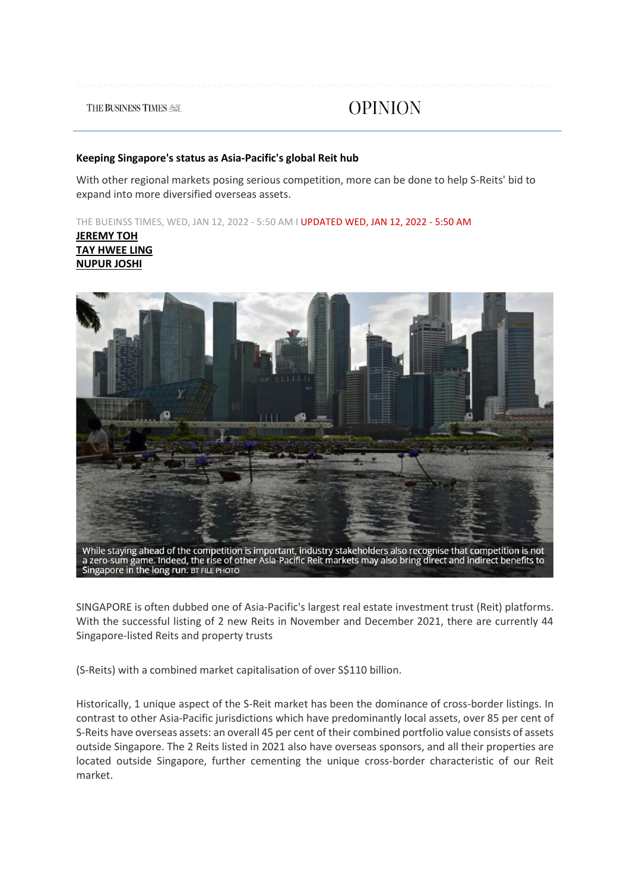**THE BUSINESS TIMES 45** 

**OPINION** 

#### **Keeping Singapore's status as Asia-Pacific's global Reit hub**

With other regional markets posing serious competition, more can be done to help S-Reits' bid to expand into more diversified overseas assets.

THE BUEINSS TIMES, WED, JAN 12, 2022 - 5:50 AM I UPDATED WED, JAN 12, 2022 - 5:50 AM

**[JEREMY TOH](https://www.businesstimes.com.sg/authors/jeremy-toh) [TAY HWEE LING](https://www.businesstimes.com.sg/authors/tay-hwee-ling) [NUPUR JOSHI](https://www.businesstimes.com.sg/authors/nupur-joshi)**



SINGAPORE is often dubbed one of Asia-Pacific's largest real estate investment trust (Reit) platforms. With the successful listing of 2 new Reits in November and December 2021, there are currently 44 Singapore-listed Reits and property trusts

(S-Reits) with a combined market capitalisation of over S\$110 billion.

Historically, 1 unique aspect of the S-Reit market has been the dominance of cross-border listings. In contrast to other Asia-Pacific jurisdictions which have predominantly local assets, over 85 per cent of S-Reits have overseas assets: an overall 45 per cent of their combined portfolio value consists of assets outside Singapore. The 2 Reits listed in 2021 also have overseas sponsors, and all their properties are located outside Singapore, further cementing the unique cross-border characteristic of our Reit market.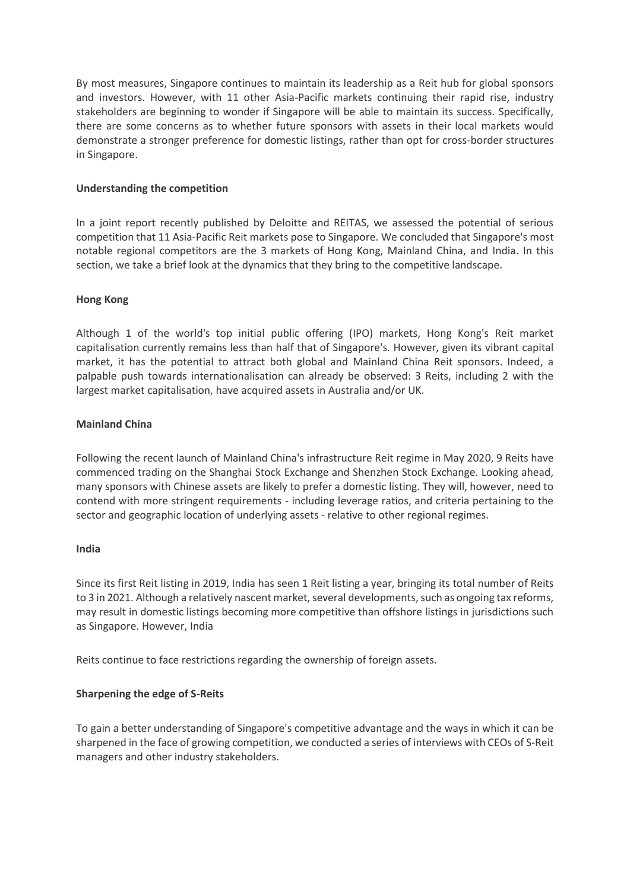By most measures, Singapore continues to maintain its leadership as a Reit hub for global sponsors and investors. However, with 11 other Asia-Pacific markets continuing their rapid rise, industry stakeholders are beginning to wonder if Singapore will be able to maintain its success. Specifically, there are some concerns as to whether future sponsors with assets in their local markets would demonstrate a stronger preference for domestic listings, rather than opt for cross-border structures in Singapore.

## **Understanding the competition**

In a joint report recently published by Deloitte and REITAS, we assessed the potential of serious competition that 11 Asia-Pacific Reit markets pose to Singapore. We concluded that Singapore's most notable regional competitors are the 3 markets of Hong Kong, Mainland China, and India. In this section, we take a brief look at the dynamics that they bring to the competitive landscape.

# **Hong Kong**

Although 1 of the world's top initial public offering (IPO) markets, Hong Kong's Reit market capitalisation currently remains less than half that of Singapore's. However, given its vibrant capital market, it has the potential to attract both global and Mainland China Reit sponsors. Indeed, a palpable push towards internationalisation can already be observed: 3 Reits, including 2 with the largest market capitalisation, have acquired assets in Australia and/or UK.

## **Mainland China**

Following the recent launch of Mainland China's infrastructure Reit regime in May 2020, 9 Reits have commenced trading on the Shanghai Stock Exchange and Shenzhen Stock Exchange. Looking ahead, many sponsors with Chinese assets are likely to prefer a domestic listing. They will, however, need to contend with more stringent requirements - including leverage ratios, and criteria pertaining to the sector and geographic location of underlying assets - relative to other regional regimes.

## **India**

Since its first Reit listing in 2019, India has seen 1 Reit listing a year, bringing its total number of Reits to 3 in 2021. Although a relatively nascent market, several developments, such as ongoing tax reforms, may result in domestic listings becoming more competitive than offshore listings in jurisdictions such as Singapore. However, India

Reits continue to face restrictions regarding the ownership of foreign assets.

## **Sharpening the edge of S-Reits**

To gain a better understanding of Singapore's competitive advantage and the ways in which it can be sharpened in the face of growing competition, we conducted a series of interviews with CEOs of S-Reit managers and other industry stakeholders.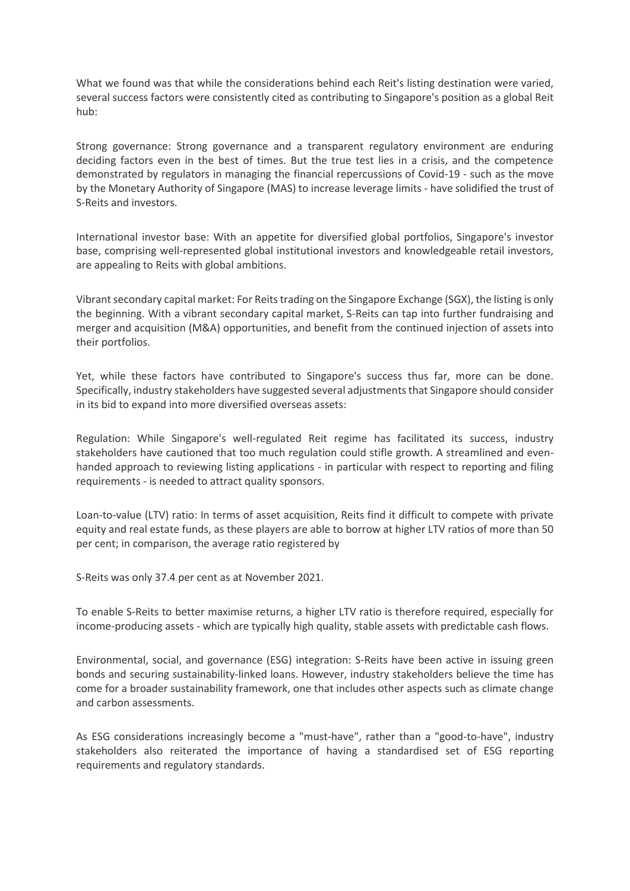What we found was that while the considerations behind each Reit's listing destination were varied, several success factors were consistently cited as contributing to Singapore's position as a global Reit hub:

Strong governance: Strong governance and a transparent regulatory environment are enduring deciding factors even in the best of times. But the true test lies in a crisis, and the competence demonstrated by regulators in managing the financial repercussions of Covid-19 - such as the move by the Monetary Authority of Singapore (MAS) to increase leverage limits - have solidified the trust of S-Reits and investors.

International investor base: With an appetite for diversified global portfolios, Singapore's investor base, comprising well-represented global institutional investors and knowledgeable retail investors, are appealing to Reits with global ambitions.

Vibrant secondary capital market: For Reits trading on the Singapore Exchange (SGX), the listing is only the beginning. With a vibrant secondary capital market, S-Reits can tap into further fundraising and merger and acquisition (M&A) opportunities, and benefit from the continued injection of assets into their portfolios.

Yet, while these factors have contributed to Singapore's success thus far, more can be done. Specifically, industry stakeholders have suggested several adjustments that Singapore should consider in its bid to expand into more diversified overseas assets:

Regulation: While Singapore's well-regulated Reit regime has facilitated its success, industry stakeholders have cautioned that too much regulation could stifle growth. A streamlined and evenhanded approach to reviewing listing applications - in particular with respect to reporting and filing requirements - is needed to attract quality sponsors.

Loan-to-value (LTV) ratio: In terms of asset acquisition, Reits find it difficult to compete with private equity and real estate funds, as these players are able to borrow at higher LTV ratios of more than 50 per cent; in comparison, the average ratio registered by

S-Reits was only 37.4 per cent as at November 2021.

To enable S-Reits to better maximise returns, a higher LTV ratio is therefore required, especially for income-producing assets - which are typically high quality, stable assets with predictable cash flows.

Environmental, social, and governance (ESG) integration: S-Reits have been active in issuing green bonds and securing sustainability-linked loans. However, industry stakeholders believe the time has come for a broader sustainability framework, one that includes other aspects such as climate change and carbon assessments.

As ESG considerations increasingly become a "must-have", rather than a "good-to-have", industry stakeholders also reiterated the importance of having a standardised set of ESG reporting requirements and regulatory standards.